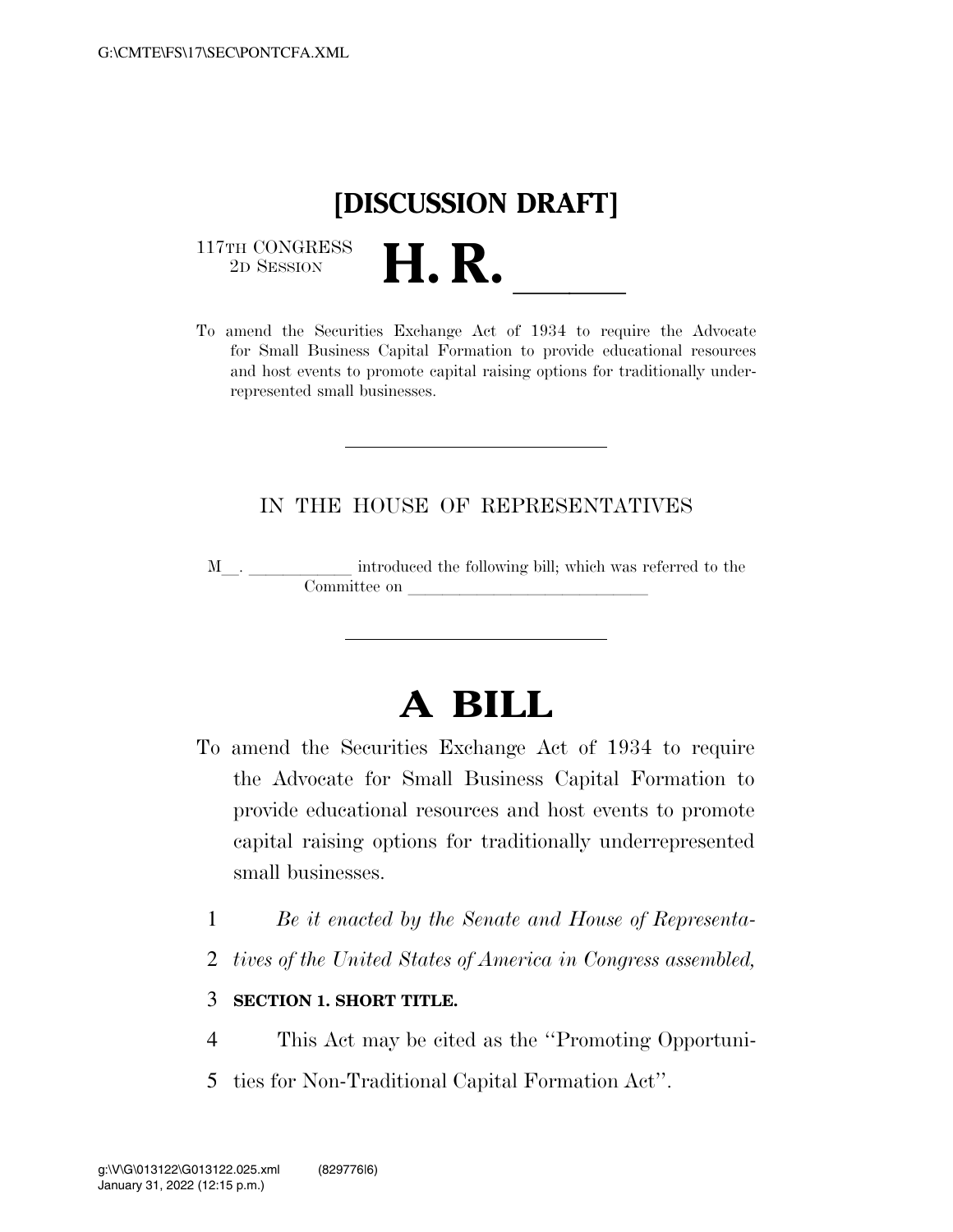## **[DISCUSSION DRAFT]**

 $\begin{array}{c} \text{117TH CONGRESS} \\ \text{2D SESION} \end{array}$ 

117TH CONGRESS<br>
2D SESSION<br>
To amend the Securities Exchange Act of 1934 to require the Advocate for Small Business Capital Formation to provide educational resources and host events to promote capital raising options for traditionally underrepresented small businesses.

## IN THE HOUSE OF REPRESENTATIVES

M\_\_. \_\_\_\_\_\_\_\_\_\_\_\_ introduced the following bill; which was referred to the Committee on leads of  $\lambda$ 

## **A BILL**

- To amend the Securities Exchange Act of 1934 to require the Advocate for Small Business Capital Formation to provide educational resources and host events to promote capital raising options for traditionally underrepresented small businesses.
	- 1 *Be it enacted by the Senate and House of Representa-*
	- 2 *tives of the United States of America in Congress assembled,*

## 3 **SECTION 1. SHORT TITLE.**

- 4 This Act may be cited as the ''Promoting Opportuni-
- 5 ties for Non-Traditional Capital Formation Act''.